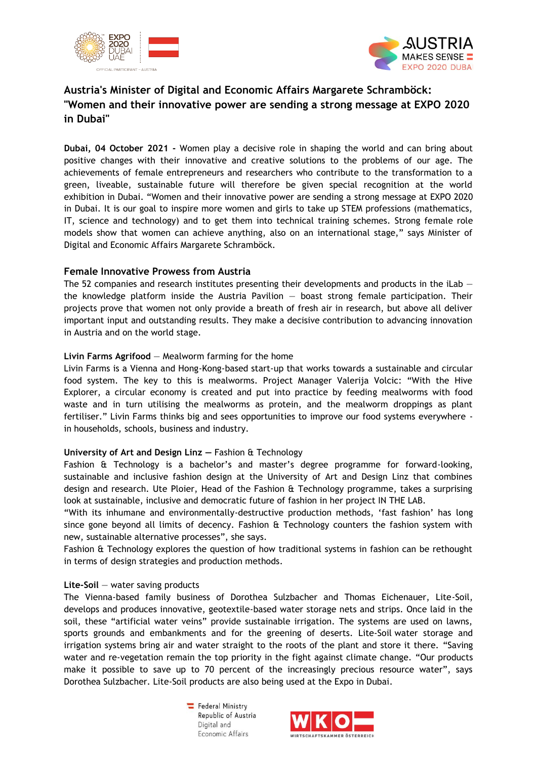



# **Austria's Minister of Digital and Economic Affairs Margarete Schramböck: "Women and their innovative power are sending a strong message at EXPO 2020 in Dubai"**

**Dubai, 04 October 2021 -** Women play a decisive role in shaping the world and can bring about positive changes with their innovative and creative solutions to the problems of our age. The achievements of female entrepreneurs and researchers who contribute to the transformation to a green, liveable, sustainable future will therefore be given special recognition at the world exhibition in Dubai. "Women and their innovative power are sending a strong message at EXPO 2020 in Dubai. It is our goal to inspire more women and girls to take up STEM professions (mathematics, IT, science and technology) and to get them into technical training schemes. Strong female role models show that women can achieve anything, also on an international stage," says Minister of Digital and Economic Affairs Margarete Schramböck.

# **Female Innovative Prowess from Austria**

The 52 companies and research institutes presenting their developments and products in the iLab  $$ the knowledge platform inside the Austria Pavilion — boast strong female participation. Their projects prove that women not only provide a breath of fresh air in research, but above all deliver important input and outstanding results. They make a decisive contribution to advancing innovation in Austria and on the world stage.

# **Livin Farms Agrifood** — Mealworm farming for the home

Livin Farms is a Vienna and Hong-Kong-based start-up that works towards a sustainable and circular food system. The key to this is mealworms. Project Manager Valerija Volcic: "With the Hive Explorer, a circular economy is created and put into practice by feeding mealworms with food waste and in turn utilising the mealworms as protein, and the mealworm droppings as plant fertiliser." Livin Farms thinks big and sees opportunities to improve our food systems everywhere in households, schools, business and industry.

## **University of Art and Design Linz —** Fashion & Technology

Fashion & Technology is a bachelor's and master's degree programme for forward-looking, sustainable and inclusive fashion design at the University of Art and Design Linz that combines design and research. Ute Ploier, Head of the Fashion & Technology programme, takes a surprising look at sustainable, inclusive and democratic future of fashion in her project IN THE LAB.

"With its inhumane and environmentally-destructive production methods, 'fast fashion' has long since gone beyond all limits of decency. Fashion & Technology counters the fashion system with new, sustainable alternative processes", she says.

Fashion & Technology explores the question of how traditional systems in fashion can be rethought in terms of design strategies and production methods.

## **Lite-Soil** — water saving products

The Vienna-based family business of Dorothea Sulzbacher and Thomas Eichenauer, Lite-Soil, develops and produces innovative, geotextile-based water storage nets and strips. Once laid in the soil, these "artificial water veins" provide sustainable irrigation. The systems are used on lawns, sports grounds and embankments and for the greening of deserts. Lite-Soil water storage and irrigation systems bring air and water straight to the roots of the plant and store it there. "Saving water and re-vegetation remain the top priority in the fight against climate change. "Our products make it possible to save up to 70 percent of the increasingly precious resource water", says Dorothea Sulzbacher. Lite-Soil products are also being used at the Expo in Dubai.

> Federal Ministry Republic of Austria Digital and Economic Affairs